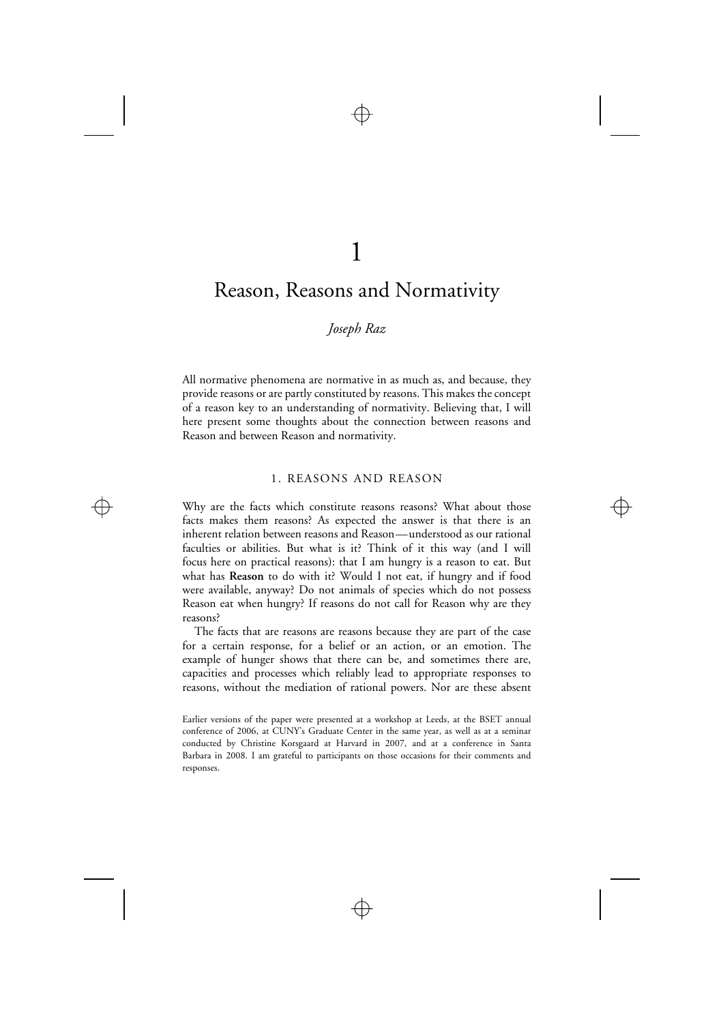1

## *Joseph Raz*

All normative phenomena are normative in as much as, and because, they provide reasons or are partly constituted by reasons. This makes the concept of a reason key to an understanding of normativity. Believing that, I will here present some thoughts about the connection between reasons and Reason and between Reason and normativity.

### 1. REASONS AND REASON

Why are the facts which constitute reasons reasons? What about those facts makes them reasons? As expected the answer is that there is an inherent relation between reasons and Reason—understood as our rational faculties or abilities. But what is it? Think of it this way (and I will focus here on practical reasons): that I am hungry is a reason to eat. But what has **Reason** to do with it? Would I not eat, if hungry and if food were available, anyway? Do not animals of species which do not possess Reason eat when hungry? If reasons do not call for Reason why are they reasons?

The facts that are reasons are reasons because they are part of the case for a certain response, for a belief or an action, or an emotion. The example of hunger shows that there can be, and sometimes there are, capacities and processes which reliably lead to appropriate responses to reasons, without the mediation of rational powers. Nor are these absent

Earlier versions of the paper were presented at a workshop at Leeds, at the BSET annual conference of 2006, at CUNY's Graduate Center in the same year, as well as at a seminar conducted by Christine Korsgaard at Harvard in 2007, and at a conference in Santa Barbara in 2008. I am grateful to participants on those occasions for their comments and responses.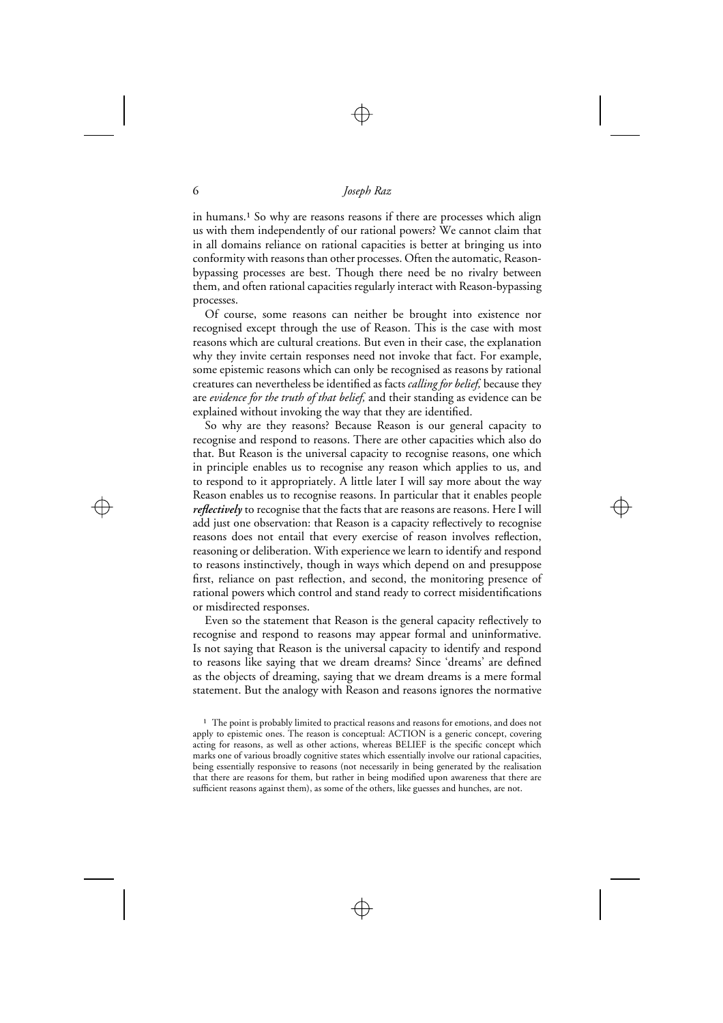in humans.<sup>1</sup> So why are reasons reasons if there are processes which align us with them independently of our rational powers? We cannot claim that in all domains reliance on rational capacities is better at bringing us into conformity with reasons than other processes. Often the automatic, Reasonbypassing processes are best. Though there need be no rivalry between them, and often rational capacities regularly interact with Reason-bypassing processes.

Of course, some reasons can neither be brought into existence nor recognised except through the use of Reason. This is the case with most reasons which are cultural creations. But even in their case, the explanation why they invite certain responses need not invoke that fact. For example, some epistemic reasons which can only be recognised as reasons by rational creatures can nevertheless be identified as facts *calling for belief,* because they are *evidence for the truth of that belief,* and their standing as evidence can be explained without invoking the way that they are identified.

So why are they reasons? Because Reason is our general capacity to recognise and respond to reasons. There are other capacities which also do that. But Reason is the universal capacity to recognise reasons, one which in principle enables us to recognise any reason which applies to us, and to respond to it appropriately. A little later I will say more about the way Reason enables us to recognise reasons. In particular that it enables people *reflectively* to recognise that the facts that are reasons are reasons. Here I will add just one observation: that Reason is a capacity reflectively to recognise reasons does not entail that every exercise of reason involves reflection, reasoning or deliberation. With experience we learn to identify and respond to reasons instinctively, though in ways which depend on and presuppose first, reliance on past reflection, and second, the monitoring presence of rational powers which control and stand ready to correct misidentifications or misdirected responses.

Even so the statement that Reason is the general capacity reflectively to recognise and respond to reasons may appear formal and uninformative. Is not saying that Reason is the universal capacity to identify and respond to reasons like saying that we dream dreams? Since 'dreams' are defined as the objects of dreaming, saying that we dream dreams is a mere formal statement. But the analogy with Reason and reasons ignores the normative

<sup>&</sup>lt;sup>1</sup> The point is probably limited to practical reasons and reasons for emotions, and does not apply to epistemic ones. The reason is conceptual: ACTION is a generic concept, covering acting for reasons, as well as other actions, whereas BELIEF is the specific concept which marks one of various broadly cognitive states which essentially involve our rational capacities, being essentially responsive to reasons (not necessarily in being generated by the realisation that there are reasons for them, but rather in being modified upon awareness that there are sufficient reasons against them), as some of the others, like guesses and hunches, are not.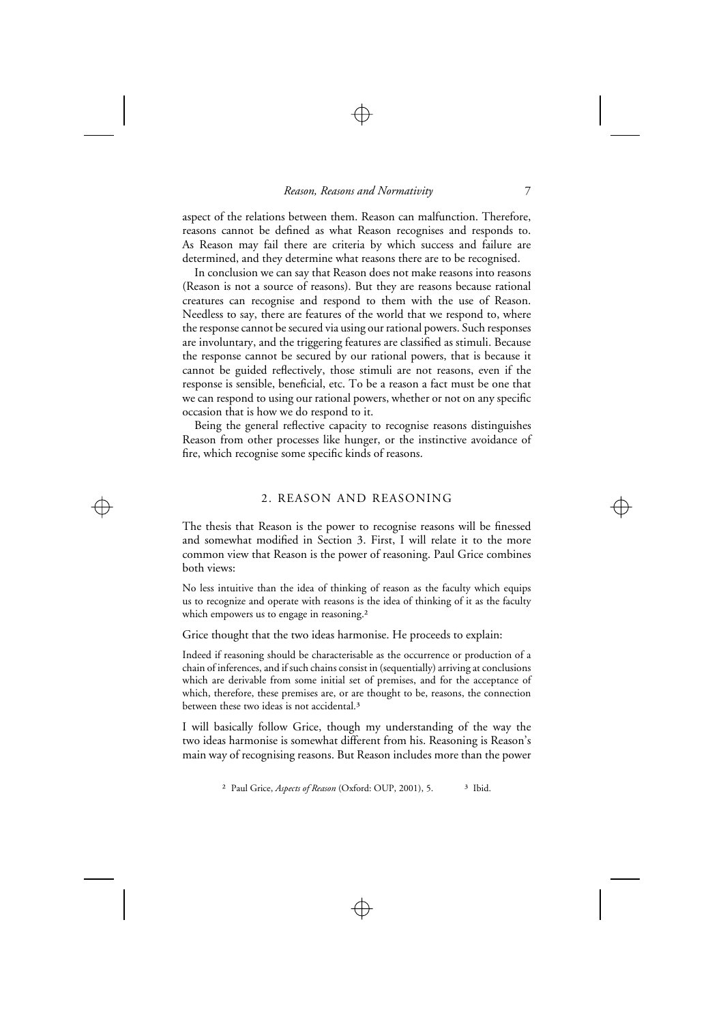aspect of the relations between them. Reason can malfunction. Therefore, reasons cannot be defined as what Reason recognises and responds to. As Reason may fail there are criteria by which success and failure are determined, and they determine what reasons there are to be recognised.

In conclusion we can say that Reason does not make reasons into reasons (Reason is not a source of reasons). But they are reasons because rational creatures can recognise and respond to them with the use of Reason. Needless to say, there are features of the world that we respond to, where the response cannot be secured via using our rational powers. Such responses are involuntary, and the triggering features are classified as stimuli. Because the response cannot be secured by our rational powers, that is because it cannot be guided reflectively, those stimuli are not reasons, even if the response is sensible, beneficial, etc. To be a reason a fact must be one that we can respond to using our rational powers, whether or not on any specific occasion that is how we do respond to it.

Being the general reflective capacity to recognise reasons distinguishes Reason from other processes like hunger, or the instinctive avoidance of fire, which recognise some specific kinds of reasons.

### 2. REASON AND REASONING

The thesis that Reason is the power to recognise reasons will be finessed and somewhat modified in Section 3. First, I will relate it to the more common view that Reason is the power of reasoning. Paul Grice combines both views:

No less intuitive than the idea of thinking of reason as the faculty which equips us to recognize and operate with reasons is the idea of thinking of it as the faculty which empowers us to engage in reasoning.<sup>2</sup>

Grice thought that the two ideas harmonise. He proceeds to explain:

Indeed if reasoning should be characterisable as the occurrence or production of a chain of inferences, and if such chains consist in (sequentially) arriving at conclusions which are derivable from some initial set of premises, and for the acceptance of which, therefore, these premises are, or are thought to be, reasons, the connection between these two ideas is not accidental.<sup>3</sup>

I will basically follow Grice, though my understanding of the way the two ideas harmonise is somewhat different from his. Reasoning is Reason's main way of recognising reasons. But Reason includes more than the power

<sup>2</sup> Paul Grice, *Aspects of Reason* (Oxford: OUP, 2001), 5. <sup>3</sup> Ibid.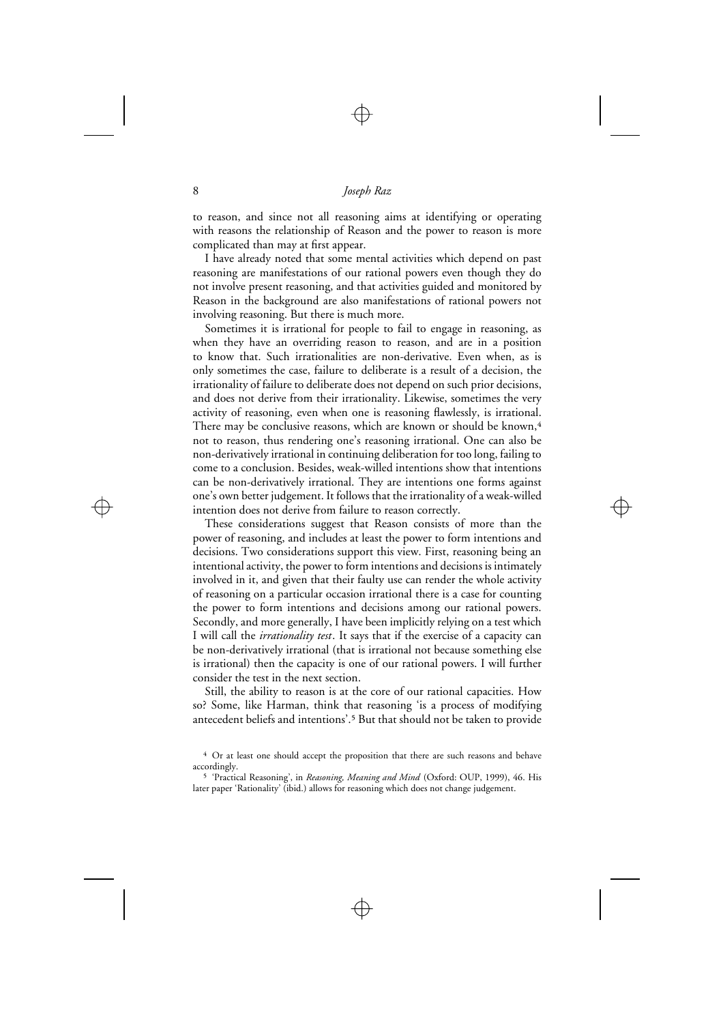to reason, and since not all reasoning aims at identifying or operating with reasons the relationship of Reason and the power to reason is more complicated than may at first appear.

I have already noted that some mental activities which depend on past reasoning are manifestations of our rational powers even though they do not involve present reasoning, and that activities guided and monitored by Reason in the background are also manifestations of rational powers not involving reasoning. But there is much more.

Sometimes it is irrational for people to fail to engage in reasoning, as when they have an overriding reason to reason, and are in a position to know that. Such irrationalities are non-derivative. Even when, as is only sometimes the case, failure to deliberate is a result of a decision, the irrationality of failure to deliberate does not depend on such prior decisions, and does not derive from their irrationality. Likewise, sometimes the very activity of reasoning, even when one is reasoning flawlessly, is irrational. There may be conclusive reasons, which are known or should be known,<sup>4</sup> not to reason, thus rendering one's reasoning irrational. One can also be non-derivatively irrational in continuing deliberation for too long, failing to come to a conclusion. Besides, weak-willed intentions show that intentions can be non-derivatively irrational. They are intentions one forms against one's own better judgement. It follows that the irrationality of a weak-willed intention does not derive from failure to reason correctly.

These considerations suggest that Reason consists of more than the power of reasoning, and includes at least the power to form intentions and decisions. Two considerations support this view. First, reasoning being an intentional activity, the power to form intentions and decisions is intimately involved in it, and given that their faulty use can render the whole activity of reasoning on a particular occasion irrational there is a case for counting the power to form intentions and decisions among our rational powers. Secondly, and more generally, I have been implicitly relying on a test which I will call the *irrationality test*. It says that if the exercise of a capacity can be non-derivatively irrational (that is irrational not because something else is irrational) then the capacity is one of our rational powers. I will further consider the test in the next section.

Still, the ability to reason is at the core of our rational capacities. How so? Some, like Harman, think that reasoning 'is a process of modifying antecedent beliefs and intentions'.<sup>5</sup> But that should not be taken to provide

<sup>&</sup>lt;sup>4</sup> Or at least one should accept the proposition that there are such reasons and behave accordingly.

⁵ 'Practical Reasoning', in *Reasoning, Meaning and Mind* (Oxford: OUP, 1999), 46. His later paper 'Rationality' (ibid.) allows for reasoning which does not change judgement.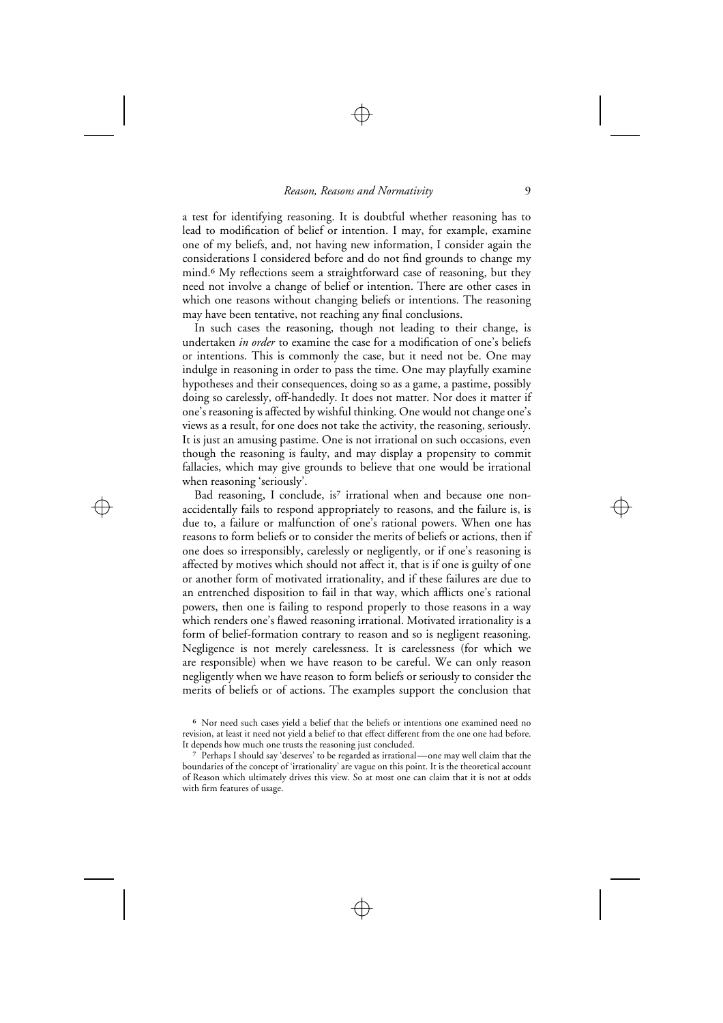a test for identifying reasoning. It is doubtful whether reasoning has to lead to modification of belief or intention. I may, for example, examine one of my beliefs, and, not having new information, I consider again the considerations I considered before and do not find grounds to change my mind.<sup>6</sup> My reflections seem a straightforward case of reasoning, but they need not involve a change of belief or intention. There are other cases in which one reasons without changing beliefs or intentions. The reasoning may have been tentative, not reaching any final conclusions.

In such cases the reasoning, though not leading to their change, is undertaken *in order* to examine the case for a modification of one's beliefs or intentions. This is commonly the case, but it need not be. One may indulge in reasoning in order to pass the time. One may playfully examine hypotheses and their consequences, doing so as a game, a pastime, possibly doing so carelessly, off-handedly. It does not matter. Nor does it matter if one's reasoning is affected by wishful thinking. One would not change one's views as a result, for one does not take the activity, the reasoning, seriously. It is just an amusing pastime. One is not irrational on such occasions, even though the reasoning is faulty, and may display a propensity to commit fallacies, which may give grounds to believe that one would be irrational when reasoning 'seriously'.

Bad reasoning, I conclude, is<sup>7</sup> irrational when and because one nonaccidentally fails to respond appropriately to reasons, and the failure is, is due to, a failure or malfunction of one's rational powers. When one has reasons to form beliefs or to consider the merits of beliefs or actions, then if one does so irresponsibly, carelessly or negligently, or if one's reasoning is affected by motives which should not affect it, that is if one is guilty of one or another form of motivated irrationality, and if these failures are due to an entrenched disposition to fail in that way, which afflicts one's rational powers, then one is failing to respond properly to those reasons in a way which renders one's flawed reasoning irrational. Motivated irrationality is a form of belief-formation contrary to reason and so is negligent reasoning. Negligence is not merely carelessness. It is carelessness (for which we are responsible) when we have reason to be careful. We can only reason negligently when we have reason to form beliefs or seriously to consider the merits of beliefs or of actions. The examples support the conclusion that



⁶ Nor need such cases yield a belief that the beliefs or intentions one examined need no revision, at least it need not yield a belief to that effect different from the one one had before. It depends how much one trusts the reasoning just concluded.

Perhaps I should say 'deserves' to be regarded as irrational—one may well claim that the boundaries of the concept of 'irrationality' are vague on this point. It is the theoretical account of Reason which ultimately drives this view. So at most one can claim that it is not at odds with firm features of usage.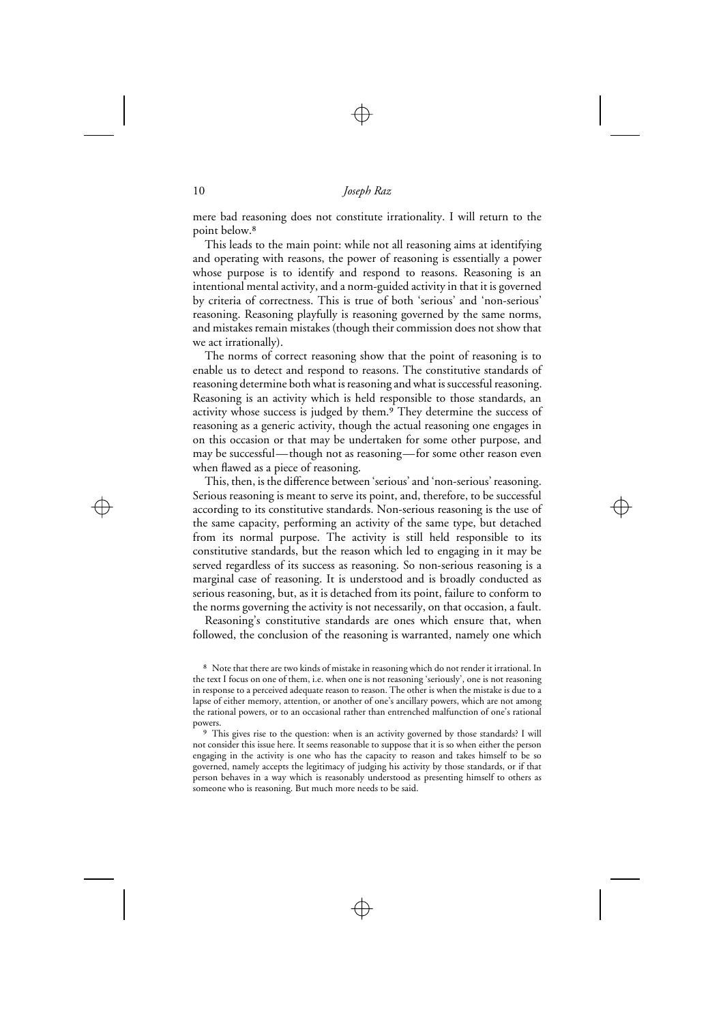mere bad reasoning does not constitute irrationality. I will return to the point below.<sup>8</sup>

This leads to the main point: while not all reasoning aims at identifying and operating with reasons, the power of reasoning is essentially a power whose purpose is to identify and respond to reasons. Reasoning is an intentional mental activity, and a norm-guided activity in that it is governed by criteria of correctness. This is true of both 'serious' and 'non-serious' reasoning. Reasoning playfully is reasoning governed by the same norms, and mistakes remain mistakes (though their commission does not show that we act irrationally).

The norms of correct reasoning show that the point of reasoning is to enable us to detect and respond to reasons. The constitutive standards of reasoning determine both what is reasoning and what is successful reasoning. Reasoning is an activity which is held responsible to those standards, an activity whose success is judged by them.<sup>9</sup> They determine the success of reasoning as a generic activity, though the actual reasoning one engages in on this occasion or that may be undertaken for some other purpose, and may be successful—though not as reasoning—for some other reason even when flawed as a piece of reasoning.

This, then, is the difference between 'serious' and 'non-serious' reasoning. Serious reasoning is meant to serve its point, and, therefore, to be successful according to its constitutive standards. Non-serious reasoning is the use of the same capacity, performing an activity of the same type, but detached from its normal purpose. The activity is still held responsible to its constitutive standards, but the reason which led to engaging in it may be served regardless of its success as reasoning. So non-serious reasoning is a marginal case of reasoning. It is understood and is broadly conducted as serious reasoning, but, as it is detached from its point, failure to conform to the norms governing the activity is not necessarily, on that occasion, a fault.

Reasoning's constitutive standards are ones which ensure that, when followed, the conclusion of the reasoning is warranted, namely one which

⁸ Note that there are two kinds of mistake in reasoning which do not render it irrational. In the text I focus on one of them, i.e. when one is not reasoning 'seriously', one is not reasoning in response to a perceived adequate reason to reason. The other is when the mistake is due to a lapse of either memory, attention, or another of one's ancillary powers, which are not among the rational powers, or to an occasional rather than entrenched malfunction of one's rational powers.

<sup>&</sup>lt;sup>9</sup> This gives rise to the question: when is an activity governed by those standards? I will not consider this issue here. It seems reasonable to suppose that it is so when either the person engaging in the activity is one who has the capacity to reason and takes himself to be so governed, namely accepts the legitimacy of judging his activity by those standards, or if that person behaves in a way which is reasonably understood as presenting himself to others as someone who is reasoning. But much more needs to be said.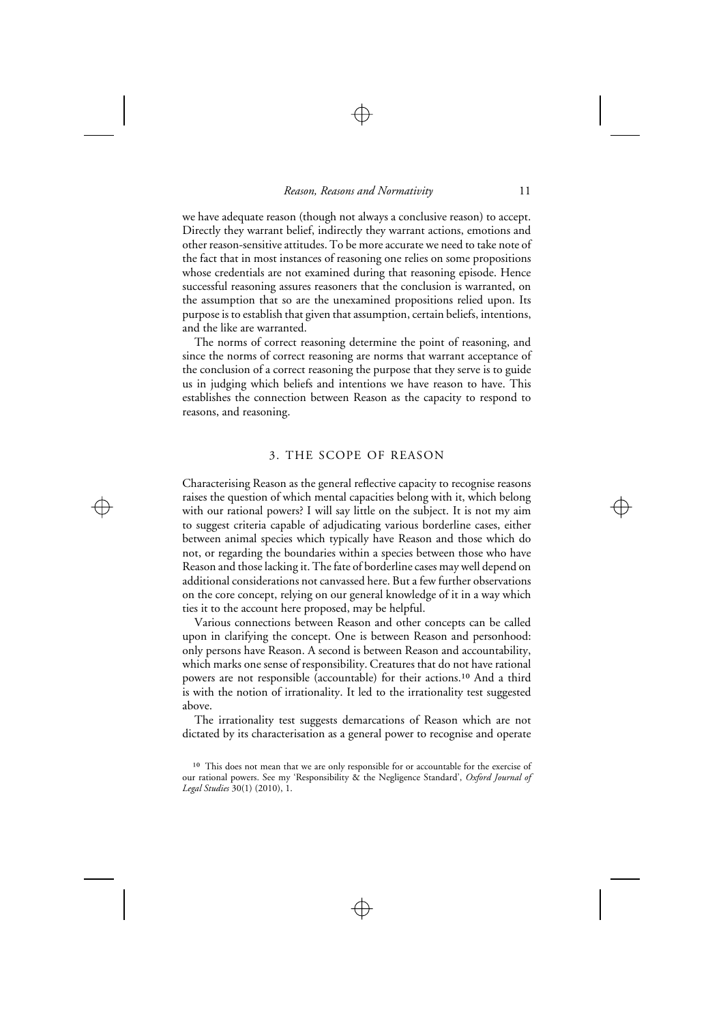we have adequate reason (though not always a conclusive reason) to accept. Directly they warrant belief, indirectly they warrant actions, emotions and other reason-sensitive attitudes. To be more accurate we need to take note of the fact that in most instances of reasoning one relies on some propositions whose credentials are not examined during that reasoning episode. Hence successful reasoning assures reasoners that the conclusion is warranted, on the assumption that so are the unexamined propositions relied upon. Its purpose is to establish that given that assumption, certain beliefs, intentions, and the like are warranted.

The norms of correct reasoning determine the point of reasoning, and since the norms of correct reasoning are norms that warrant acceptance of the conclusion of a correct reasoning the purpose that they serve is to guide us in judging which beliefs and intentions we have reason to have. This establishes the connection between Reason as the capacity to respond to reasons, and reasoning.

### 3. THE SCOPE OF REASON

Characterising Reason as the general reflective capacity to recognise reasons raises the question of which mental capacities belong with it, which belong with our rational powers? I will say little on the subject. It is not my aim to suggest criteria capable of adjudicating various borderline cases, either between animal species which typically have Reason and those which do not, or regarding the boundaries within a species between those who have Reason and those lacking it. The fate of borderline cases may well depend on additional considerations not canvassed here. But a few further observations on the core concept, relying on our general knowledge of it in a way which ties it to the account here proposed, may be helpful.

Various connections between Reason and other concepts can be called upon in clarifying the concept. One is between Reason and personhood: only persons have Reason. A second is between Reason and accountability, which marks one sense of responsibility. Creatures that do not have rational powers are not responsible (accountable) for their actions.<sup>10</sup> And a third is with the notion of irrationality. It led to the irrationality test suggested above.

The irrationality test suggests demarcations of Reason which are not dictated by its characterisation as a general power to recognise and operate

<sup>&</sup>lt;sup>10</sup> This does not mean that we are only responsible for or accountable for the exercise of our rational powers. See my 'Responsibility & the Negligence Standard', *Oxford Journal of Legal Studies* 30(1) (2010), 1.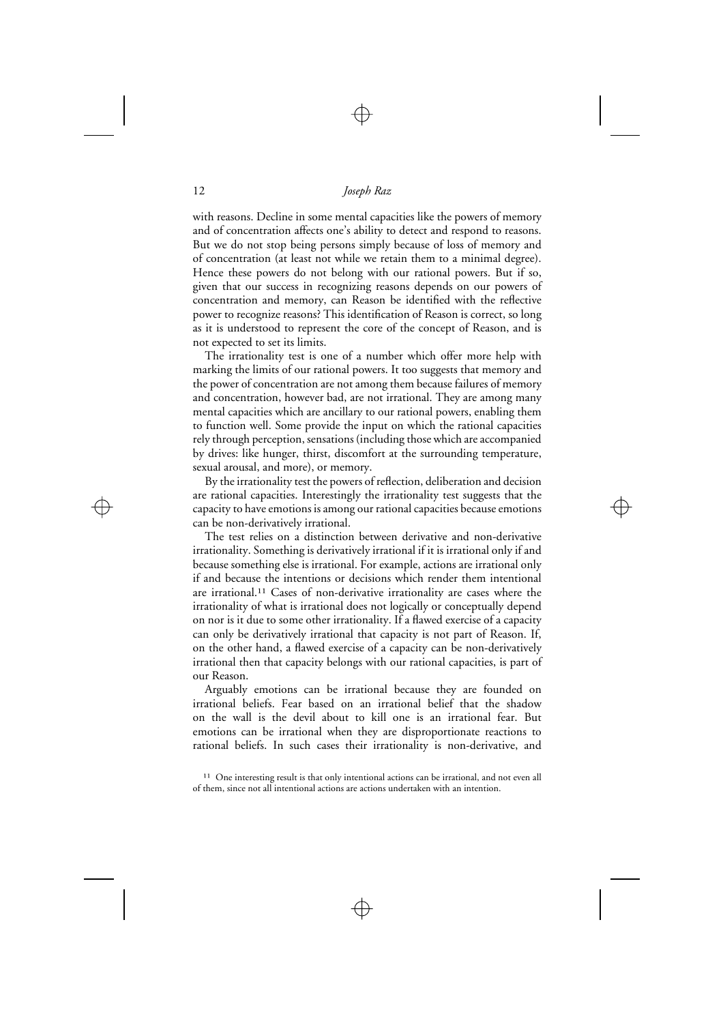with reasons. Decline in some mental capacities like the powers of memory and of concentration affects one's ability to detect and respond to reasons. But we do not stop being persons simply because of loss of memory and of concentration (at least not while we retain them to a minimal degree). Hence these powers do not belong with our rational powers. But if so, given that our success in recognizing reasons depends on our powers of concentration and memory, can Reason be identified with the reflective power to recognize reasons? This identification of Reason is correct, so long as it is understood to represent the core of the concept of Reason, and is not expected to set its limits.

The irrationality test is one of a number which offer more help with marking the limits of our rational powers. It too suggests that memory and the power of concentration are not among them because failures of memory and concentration, however bad, are not irrational. They are among many mental capacities which are ancillary to our rational powers, enabling them to function well. Some provide the input on which the rational capacities rely through perception, sensations (including those which are accompanied by drives: like hunger, thirst, discomfort at the surrounding temperature, sexual arousal, and more), or memory.

By the irrationality test the powers of reflection, deliberation and decision are rational capacities. Interestingly the irrationality test suggests that the capacity to have emotions is among our rational capacities because emotions can be non-derivatively irrational.

The test relies on a distinction between derivative and non-derivative irrationality. Something is derivatively irrational if it is irrational only if and because something else is irrational. For example, actions are irrational only if and because the intentions or decisions which render them intentional are irrational.<sup>11</sup> Cases of non-derivative irrationality are cases where the irrationality of what is irrational does not logically or conceptually depend on nor is it due to some other irrationality. If a flawed exercise of a capacity can only be derivatively irrational that capacity is not part of Reason. If, on the other hand, a flawed exercise of a capacity can be non-derivatively irrational then that capacity belongs with our rational capacities, is part of our Reason.

Arguably emotions can be irrational because they are founded on irrational beliefs. Fear based on an irrational belief that the shadow on the wall is the devil about to kill one is an irrational fear. But emotions can be irrational when they are disproportionate reactions to rational beliefs. In such cases their irrationality is non-derivative, and

<sup>11</sup> One interesting result is that only intentional actions can be irrational, and not even all of them, since not all intentional actions are actions undertaken with an intention.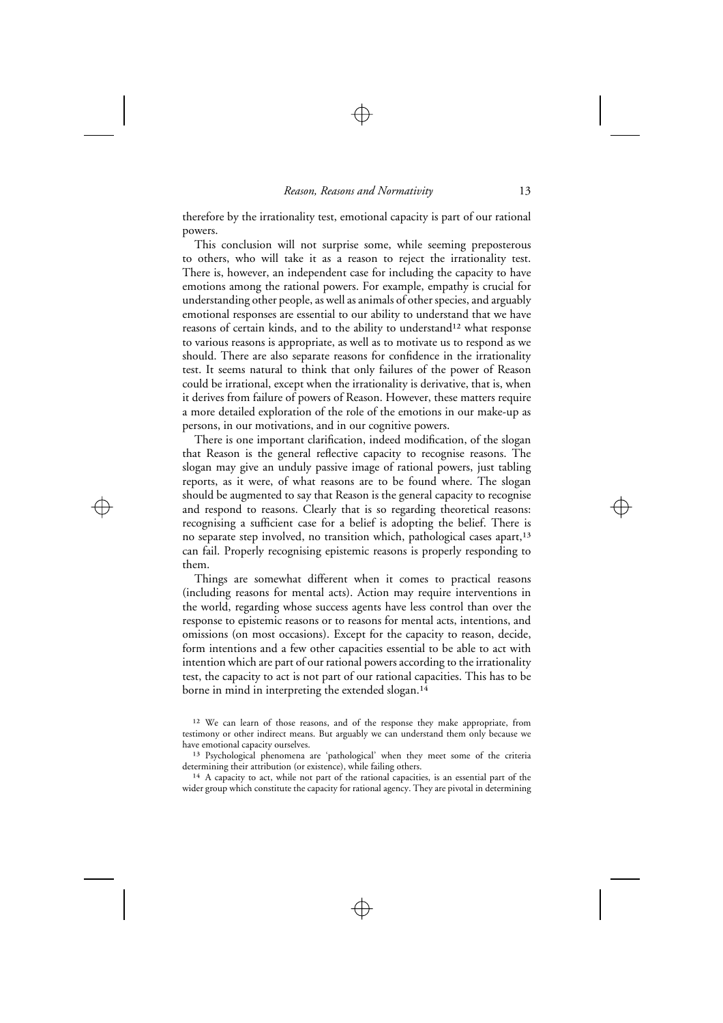therefore by the irrationality test, emotional capacity is part of our rational powers.

This conclusion will not surprise some, while seeming preposterous to others, who will take it as a reason to reject the irrationality test. There is, however, an independent case for including the capacity to have emotions among the rational powers. For example, empathy is crucial for understanding other people, as well as animals of other species, and arguably emotional responses are essential to our ability to understand that we have reasons of certain kinds, and to the ability to understand<sup>12</sup> what response to various reasons is appropriate, as well as to motivate us to respond as we should. There are also separate reasons for confidence in the irrationality test. It seems natural to think that only failures of the power of Reason could be irrational, except when the irrationality is derivative, that is, when it derives from failure of powers of Reason. However, these matters require a more detailed exploration of the role of the emotions in our make-up as persons, in our motivations, and in our cognitive powers.

There is one important clarification, indeed modification, of the slogan that Reason is the general reflective capacity to recognise reasons. The slogan may give an unduly passive image of rational powers, just tabling reports, as it were, of what reasons are to be found where. The slogan should be augmented to say that Reason is the general capacity to recognise and respond to reasons. Clearly that is so regarding theoretical reasons: recognising a sufficient case for a belief is adopting the belief. There is no separate step involved, no transition which, pathological cases apart,<sup>13</sup> can fail. Properly recognising epistemic reasons is properly responding to them.

Things are somewhat different when it comes to practical reasons (including reasons for mental acts). Action may require interventions in the world, regarding whose success agents have less control than over the response to epistemic reasons or to reasons for mental acts, intentions, and omissions (on most occasions). Except for the capacity to reason, decide, form intentions and a few other capacities essential to be able to act with intention which are part of our rational powers according to the irrationality test, the capacity to act is not part of our rational capacities. This has to be borne in mind in interpreting the extended slogan.<sup>14</sup>

<sup>12</sup> We can learn of those reasons, and of the response they make appropriate, from testimony or other indirect means. But arguably we can understand them only because we have emotional capacity ourselves.

<sup>13</sup> Psychological phenomena are 'pathological' when they meet some of the criteria determining their attribution (or existence), while failing others.

<sup>14</sup> A capacity to act, while not part of the rational capacities, is an essential part of the wider group which constitute the capacity for rational agency. They are pivotal in determining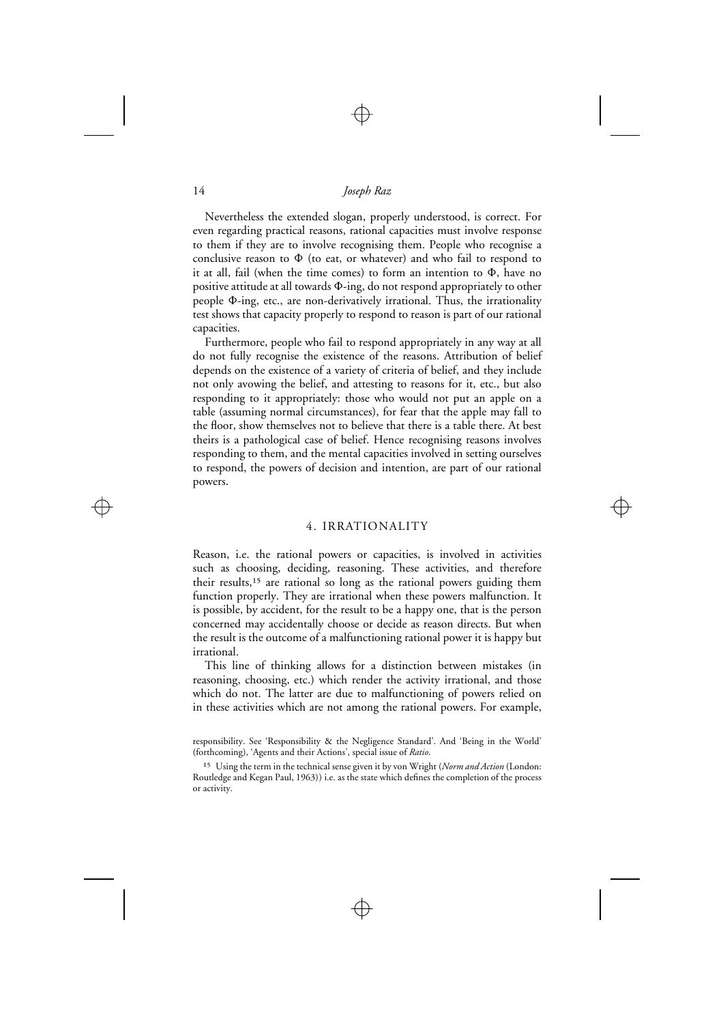Nevertheless the extended slogan, properly understood, is correct. For even regarding practical reasons, rational capacities must involve response to them if they are to involve recognising them. People who recognise a conclusive reason to  $\Phi$  (to eat, or whatever) and who fail to respond to it at all, fail (when the time comes) to form an intention to  $\Phi$ , have no positive attitude at all towards  $\Phi$ -ing, do not respond appropriately to other people  $\Phi$ -ing, etc., are non-derivatively irrational. Thus, the irrationality test shows that capacity properly to respond to reason is part of our rational capacities.

Furthermore, people who fail to respond appropriately in any way at all do not fully recognise the existence of the reasons. Attribution of belief depends on the existence of a variety of criteria of belief, and they include not only avowing the belief, and attesting to reasons for it, etc., but also responding to it appropriately: those who would not put an apple on a table (assuming normal circumstances), for fear that the apple may fall to the floor, show themselves not to believe that there is a table there. At best theirs is a pathological case of belief. Hence recognising reasons involves responding to them, and the mental capacities involved in setting ourselves to respond, the powers of decision and intention, are part of our rational powers.

### 4. IRRATIONALITY

Reason, i.e. the rational powers or capacities, is involved in activities such as choosing, deciding, reasoning. These activities, and therefore their results,<sup>15</sup> are rational so long as the rational powers guiding them function properly. They are irrational when these powers malfunction. It is possible, by accident, for the result to be a happy one, that is the person concerned may accidentally choose or decide as reason directs. But when the result is the outcome of a malfunctioning rational power it is happy but irrational.

This line of thinking allows for a distinction between mistakes (in reasoning, choosing, etc.) which render the activity irrational, and those which do not. The latter are due to malfunctioning of powers relied on in these activities which are not among the rational powers. For example,

responsibility. See 'Responsibility & the Negligence Standard'. And 'Being in the World' (forthcoming), 'Agents and their Actions', special issue of *Ratio*.

<sup>&</sup>lt;sup>15</sup> Using the term in the technical sense given it by von Wright (*Norm and Action* (London: Routledge and Kegan Paul, 1963)) i.e. as the state which defines the completion of the process or activity.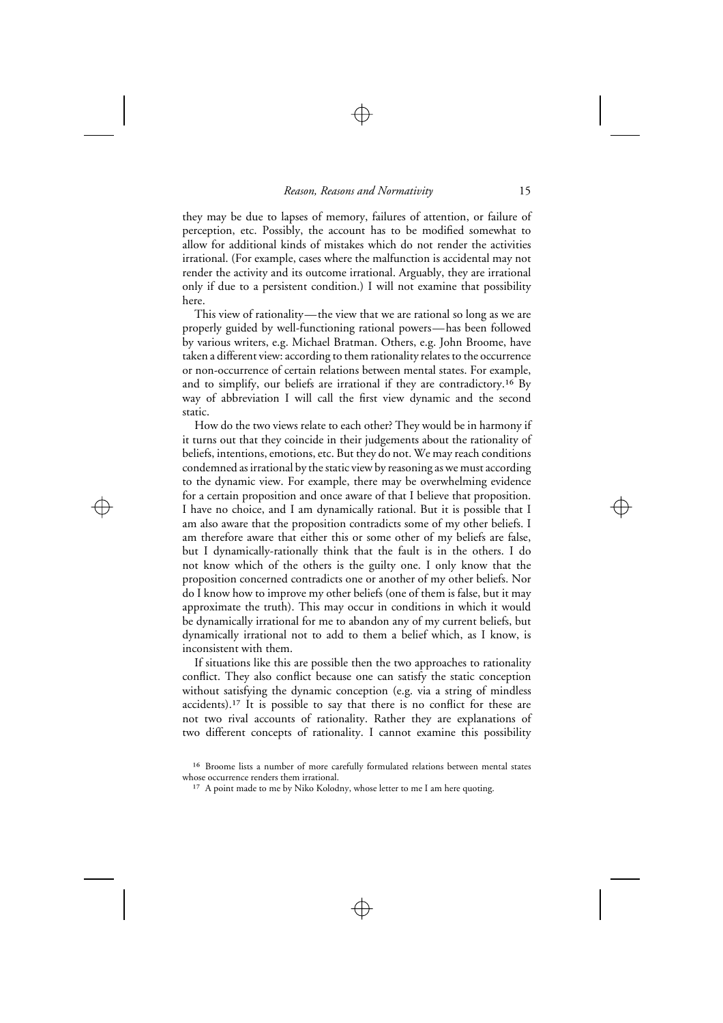they may be due to lapses of memory, failures of attention, or failure of perception, etc. Possibly, the account has to be modified somewhat to allow for additional kinds of mistakes which do not render the activities irrational. (For example, cases where the malfunction is accidental may not render the activity and its outcome irrational. Arguably, they are irrational only if due to a persistent condition.) I will not examine that possibility here.

This view of rationality—the view that we are rational so long as we are properly guided by well-functioning rational powers—has been followed by various writers, e.g. Michael Bratman. Others, e.g. John Broome, have taken a different view: according to them rationality relates to the occurrence or non-occurrence of certain relations between mental states. For example, and to simplify, our beliefs are irrational if they are contradictory.<sup>16</sup> By way of abbreviation I will call the first view dynamic and the second static.

How do the two views relate to each other? They would be in harmony if it turns out that they coincide in their judgements about the rationality of beliefs, intentions, emotions, etc. But they do not. We may reach conditions condemned as irrational by the static view by reasoning as we must according to the dynamic view. For example, there may be overwhelming evidence for a certain proposition and once aware of that I believe that proposition. I have no choice, and I am dynamically rational. But it is possible that I am also aware that the proposition contradicts some of my other beliefs. I am therefore aware that either this or some other of my beliefs are false, but I dynamically-rationally think that the fault is in the others. I do not know which of the others is the guilty one. I only know that the proposition concerned contradicts one or another of my other beliefs. Nor do I know how to improve my other beliefs (one of them is false, but it may approximate the truth). This may occur in conditions in which it would be dynamically irrational for me to abandon any of my current beliefs, but dynamically irrational not to add to them a belief which, as I know, is inconsistent with them.

If situations like this are possible then the two approaches to rationality conflict. They also conflict because one can satisfy the static conception without satisfying the dynamic conception (e.g. via a string of mindless accidents).<sup>17</sup> It is possible to say that there is no conflict for these are not two rival accounts of rationality. Rather they are explanations of two different concepts of rationality. I cannot examine this possibility

<sup>&</sup>lt;sup>16</sup> Broome lists a number of more carefully formulated relations between mental states whose occurrence renders them irrational.

<sup>&</sup>lt;sup>17</sup> A point made to me by Niko Kolodny, whose letter to me I am here quoting.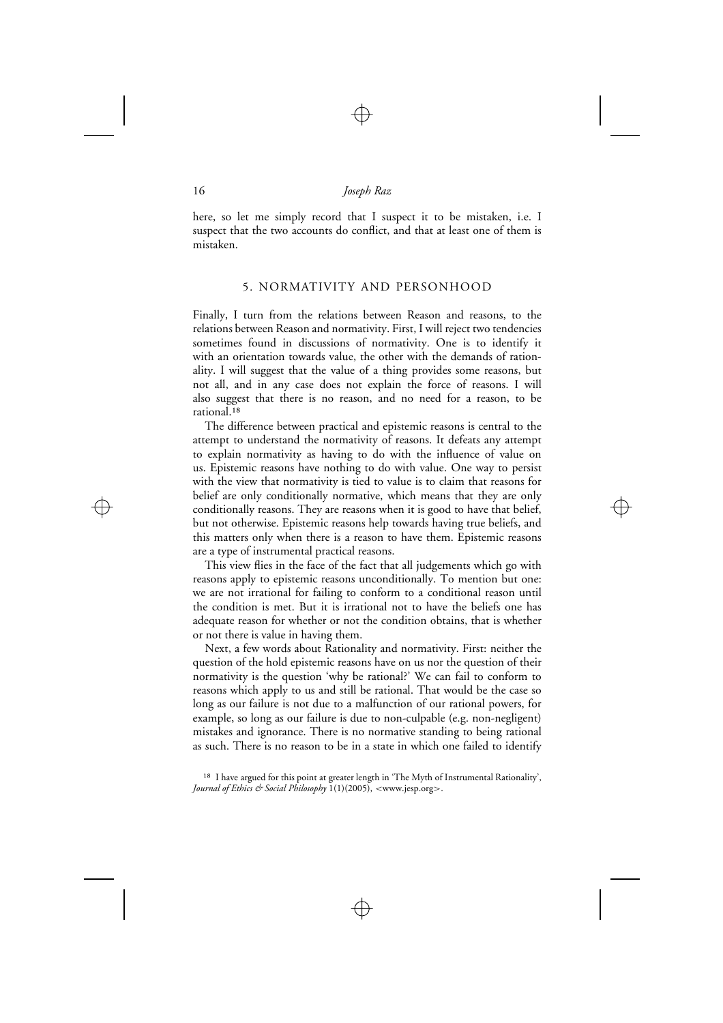here, so let me simply record that I suspect it to be mistaken, i.e. I suspect that the two accounts do conflict, and that at least one of them is mistaken.

### 5. NORMATIVITY AND PERSONHOOD

Finally, I turn from the relations between Reason and reasons, to the relations between Reason and normativity. First, I will reject two tendencies sometimes found in discussions of normativity. One is to identify it with an orientation towards value, the other with the demands of rationality. I will suggest that the value of a thing provides some reasons, but not all, and in any case does not explain the force of reasons. I will also suggest that there is no reason, and no need for a reason, to be rational.<sup>18</sup>

The difference between practical and epistemic reasons is central to the attempt to understand the normativity of reasons. It defeats any attempt to explain normativity as having to do with the influence of value on us. Epistemic reasons have nothing to do with value. One way to persist with the view that normativity is tied to value is to claim that reasons for belief are only conditionally normative, which means that they are only conditionally reasons. They are reasons when it is good to have that belief, but not otherwise. Epistemic reasons help towards having true beliefs, and this matters only when there is a reason to have them. Epistemic reasons are a type of instrumental practical reasons.

This view flies in the face of the fact that all judgements which go with reasons apply to epistemic reasons unconditionally. To mention but one: we are not irrational for failing to conform to a conditional reason until the condition is met. But it is irrational not to have the beliefs one has adequate reason for whether or not the condition obtains, that is whether or not there is value in having them.

Next, a few words about Rationality and normativity. First: neither the question of the hold epistemic reasons have on us nor the question of their normativity is the question 'why be rational?' We can fail to conform to reasons which apply to us and still be rational. That would be the case so long as our failure is not due to a malfunction of our rational powers, for example, so long as our failure is due to non-culpable (e.g. non-negligent) mistakes and ignorance. There is no normative standing to being rational as such. There is no reason to be in a state in which one failed to identify

<sup>18</sup> I have argued for this point at greater length in 'The Myth of Instrumental Rationality', *Journal of Ethics & Social Philosophy* 1(1)(2005), *<*www.jesp.org*>*.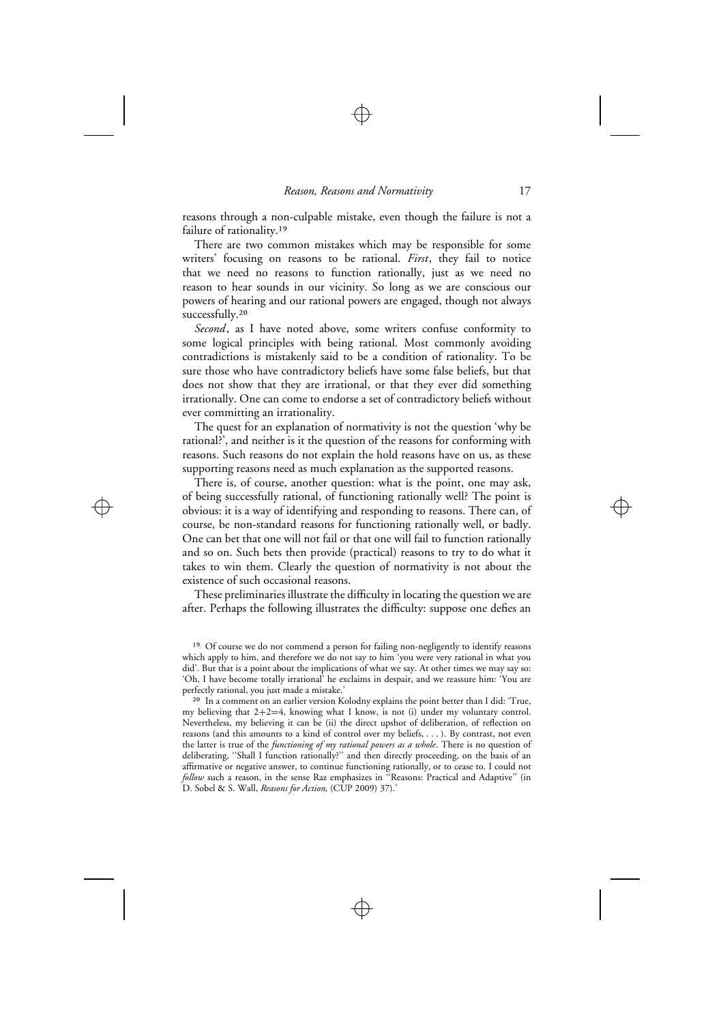reasons through a non-culpable mistake, even though the failure is not a failure of rationality.<sup>19</sup>

There are two common mistakes which may be responsible for some writers' focusing on reasons to be rational. *First*, they fail to notice that we need no reasons to function rationally, just as we need no reason to hear sounds in our vicinity. So long as we are conscious our powers of hearing and our rational powers are engaged, though not always successfully.<sup>20</sup>

*Second*, as I have noted above, some writers confuse conformity to some logical principles with being rational. Most commonly avoiding contradictions is mistakenly said to be a condition of rationality. To be sure those who have contradictory beliefs have some false beliefs, but that does not show that they are irrational, or that they ever did something irrationally. One can come to endorse a set of contradictory beliefs without ever committing an irrationality.

The quest for an explanation of normativity is not the question 'why be rational?', and neither is it the question of the reasons for conforming with reasons. Such reasons do not explain the hold reasons have on us, as these supporting reasons need as much explanation as the supported reasons.

There is, of course, another question: what is the point, one may ask, of being successfully rational, of functioning rationally well? The point is obvious: it is a way of identifying and responding to reasons. There can, of course, be non-standard reasons for functioning rationally well, or badly. One can bet that one will not fail or that one will fail to function rationally and so on. Such bets then provide (practical) reasons to try to do what it takes to win them. Clearly the question of normativity is not about the existence of such occasional reasons.

These preliminaries illustrate the difficulty in locating the question we are after. Perhaps the following illustrates the difficulty: suppose one defies an

<sup>&</sup>lt;sup>19</sup> Of course we do not commend a person for failing non-negligently to identify reasons which apply to him, and therefore we do not say to him 'you were very rational in what you did'. But that is a point about the implications of what we say. At other times we may say so: 'Oh, I have become totally irrational' he exclaims in despair, and we reassure him: 'You are perfectly rational, you just made a mistake.'

<sup>&</sup>lt;sup>20</sup> In a comment on an earlier version Kolodny explains the point better than I did: 'True, my believing that  $2+2=4$ , knowing what I know, is not (i) under my voluntary control. Nevertheless, my believing it can be (ii) the direct upshot of deliberation, of reflection on reasons (and this amounts to a kind of control over my beliefs, . . . ). By contrast, not even the latter is true of the *functioning of my rational powers as a whole*. There is no question of deliberating, ''Shall I function rationally?'' and then directly proceeding, on the basis of an affirmative or negative answer, to continue functioning rationally, or to cease to. I could not *follow* such a reason, in the sense Raz emphasizes in ''Reasons: Practical and Adaptive'' (in D. Sobel & S. Wall, *Reasons for Action,* (CUP 2009) 37).'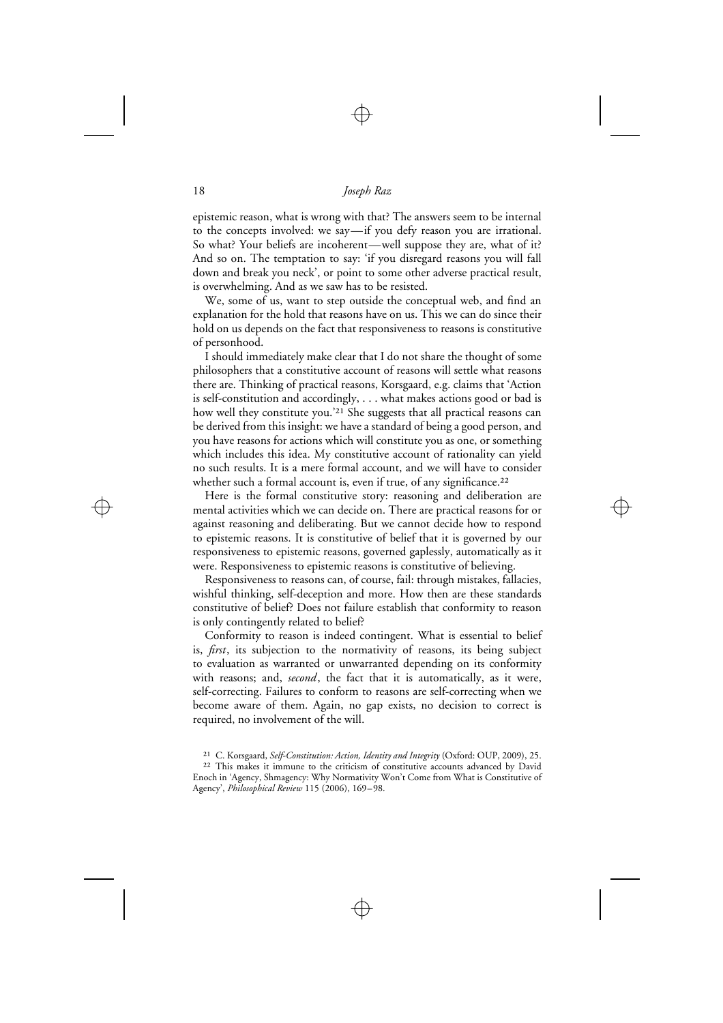epistemic reason, what is wrong with that? The answers seem to be internal to the concepts involved: we say—if you defy reason you are irrational. So what? Your beliefs are incoherent—well suppose they are, what of it? And so on. The temptation to say: 'if you disregard reasons you will fall down and break you neck', or point to some other adverse practical result, is overwhelming. And as we saw has to be resisted.

We, some of us, want to step outside the conceptual web, and find an explanation for the hold that reasons have on us. This we can do since their hold on us depends on the fact that responsiveness to reasons is constitutive of personhood.

I should immediately make clear that I do not share the thought of some philosophers that a constitutive account of reasons will settle what reasons there are. Thinking of practical reasons, Korsgaard, e.g. claims that 'Action is self-constitution and accordingly, . . . what makes actions good or bad is how well they constitute you.'<sup>21</sup> She suggests that all practical reasons can be derived from this insight: we have a standard of being a good person, and you have reasons for actions which will constitute you as one, or something which includes this idea. My constitutive account of rationality can yield no such results. It is a mere formal account, and we will have to consider whether such a formal account is, even if true, of any significance.<sup>22</sup>

Here is the formal constitutive story: reasoning and deliberation are mental activities which we can decide on. There are practical reasons for or against reasoning and deliberating. But we cannot decide how to respond to epistemic reasons. It is constitutive of belief that it is governed by our responsiveness to epistemic reasons, governed gaplessly, automatically as it were. Responsiveness to epistemic reasons is constitutive of believing.

Responsiveness to reasons can, of course, fail: through mistakes, fallacies, wishful thinking, self-deception and more. How then are these standards constitutive of belief? Does not failure establish that conformity to reason is only contingently related to belief?

Conformity to reason is indeed contingent. What is essential to belief is, *first*, its subjection to the normativity of reasons, its being subject to evaluation as warranted or unwarranted depending on its conformity with reasons; and, *second*, the fact that it is automatically, as it were, self-correcting. Failures to conform to reasons are self-correcting when we become aware of them. Again, no gap exists, no decision to correct is required, no involvement of the will.

<sup>&</sup>lt;sup>21</sup> C. Korsgaard, *Self-Constitution: Action, Identity and Integrity* (Oxford: OUP, 2009), 25. <sup>22</sup> This makes it immune to the criticism of constitutive accounts advanced by David Enoch in 'Agency, Shmagency: Why Normativity Won't Come from What is Constitutive of Agency', *Philosophical Review* 115 (2006), 169–98.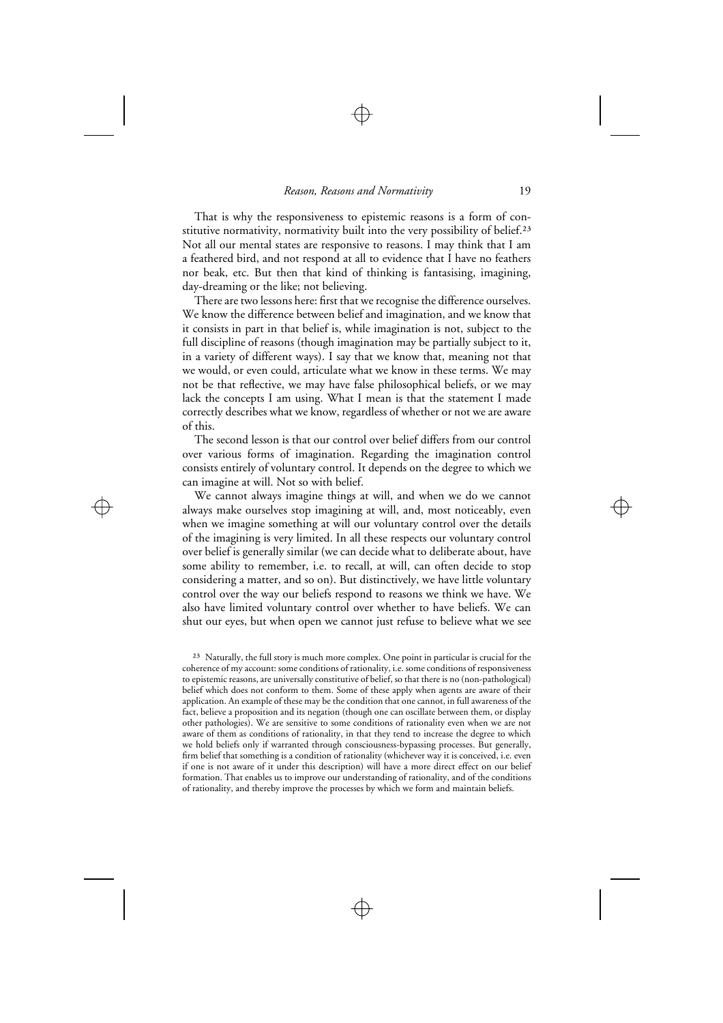That is why the responsiveness to epistemic reasons is a form of constitutive normativity, normativity built into the very possibility of belief.<sup>23</sup> Not all our mental states are responsive to reasons. I may think that I am a feathered bird, and not respond at all to evidence that I have no feathers nor beak, etc. But then that kind of thinking is fantasising, imagining, day-dreaming or the like; not believing.

There are two lessons here: first that we recognise the difference ourselves. We know the difference between belief and imagination, and we know that it consists in part in that belief is, while imagination is not, subject to the full discipline of reasons (though imagination may be partially subject to it, in a variety of different ways). I say that we know that, meaning not that we would, or even could, articulate what we know in these terms. We may not be that reflective, we may have false philosophical beliefs, or we may lack the concepts I am using. What I mean is that the statement I made correctly describes what we know, regardless of whether or not we are aware of this.

The second lesson is that our control over belief differs from our control over various forms of imagination. Regarding the imagination control consists entirely of voluntary control. It depends on the degree to which we can imagine at will. Not so with belief.

We cannot always imagine things at will, and when we do we cannot always make ourselves stop imagining at will, and, most noticeably, even when we imagine something at will our voluntary control over the details of the imagining is very limited. In all these respects our voluntary control over belief is generally similar (we can decide what to deliberate about, have some ability to remember, i.e. to recall, at will, can often decide to stop considering a matter, and so on). But distinctively, we have little voluntary control over the way our beliefs respond to reasons we think we have. We also have limited voluntary control over whether to have beliefs. We can shut our eyes, but when open we cannot just refuse to believe what we see

<sup>&</sup>lt;sup>23</sup> Naturally, the full story is much more complex. One point in particular is crucial for the coherence of my account: some conditions of rationality, i.e. some conditions of responsiveness to epistemic reasons, are universally constitutive of belief, so that there is no (non-pathological) belief which does not conform to them. Some of these apply when agents are aware of their application. An example of these may be the condition that one cannot, in full awareness of the fact, believe a proposition and its negation (though one can oscillate between them, or display other pathologies). We are sensitive to some conditions of rationality even when we are not aware of them as conditions of rationality, in that they tend to increase the degree to which we hold beliefs only if warranted through consciousness-bypassing processes. But generally, firm belief that something is a condition of rationality (whichever way it is conceived, i.e. even if one is not aware of it under this description) will have a more direct effect on our belief formation. That enables us to improve our understanding of rationality, and of the conditions of rationality, and thereby improve the processes by which we form and maintain beliefs.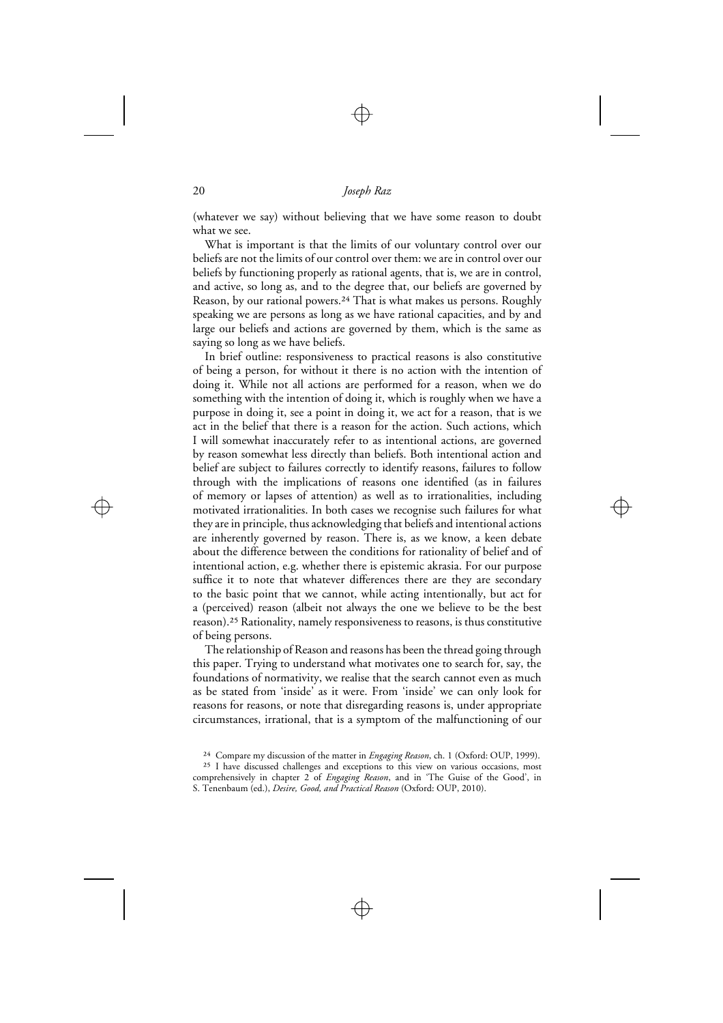(whatever we say) without believing that we have some reason to doubt what we see.

What is important is that the limits of our voluntary control over our beliefs are not the limits of our control over them: we are in control over our beliefs by functioning properly as rational agents, that is, we are in control, and active, so long as, and to the degree that, our beliefs are governed by Reason, by our rational powers.<sup>24</sup> That is what makes us persons. Roughly speaking we are persons as long as we have rational capacities, and by and large our beliefs and actions are governed by them, which is the same as saying so long as we have beliefs.

In brief outline: responsiveness to practical reasons is also constitutive of being a person, for without it there is no action with the intention of doing it. While not all actions are performed for a reason, when we do something with the intention of doing it, which is roughly when we have a purpose in doing it, see a point in doing it, we act for a reason, that is we act in the belief that there is a reason for the action. Such actions, which I will somewhat inaccurately refer to as intentional actions, are governed by reason somewhat less directly than beliefs. Both intentional action and belief are subject to failures correctly to identify reasons, failures to follow through with the implications of reasons one identified (as in failures of memory or lapses of attention) as well as to irrationalities, including motivated irrationalities. In both cases we recognise such failures for what they are in principle, thus acknowledging that beliefs and intentional actions are inherently governed by reason. There is, as we know, a keen debate about the difference between the conditions for rationality of belief and of intentional action, e.g. whether there is epistemic akrasia. For our purpose suffice it to note that whatever differences there are they are secondary to the basic point that we cannot, while acting intentionally, but act for a (perceived) reason (albeit not always the one we believe to be the best reason).<sup>25</sup> Rationality, namely responsiveness to reasons, is thus constitutive of being persons.

The relationship of Reason and reasons has been the thread going through this paper. Trying to understand what motivates one to search for, say, the foundations of normativity, we realise that the search cannot even as much as be stated from 'inside' as it were. From 'inside' we can only look for reasons for reasons, or note that disregarding reasons is, under appropriate circumstances, irrational, that is a symptom of the malfunctioning of our

<sup>&</sup>lt;sup>24</sup> Compare my discussion of the matter in *Engaging Reason*, ch. 1 (Oxford: OUP, 1999). <sup>25</sup> I have discussed challenges and exceptions to this view on various occasions, most comprehensively in chapter 2 of *Engaging Reason*, and in 'The Guise of the Good', in S. Tenenbaum (ed.), *Desire, Good, and Practical Reason* (Oxford: OUP, 2010).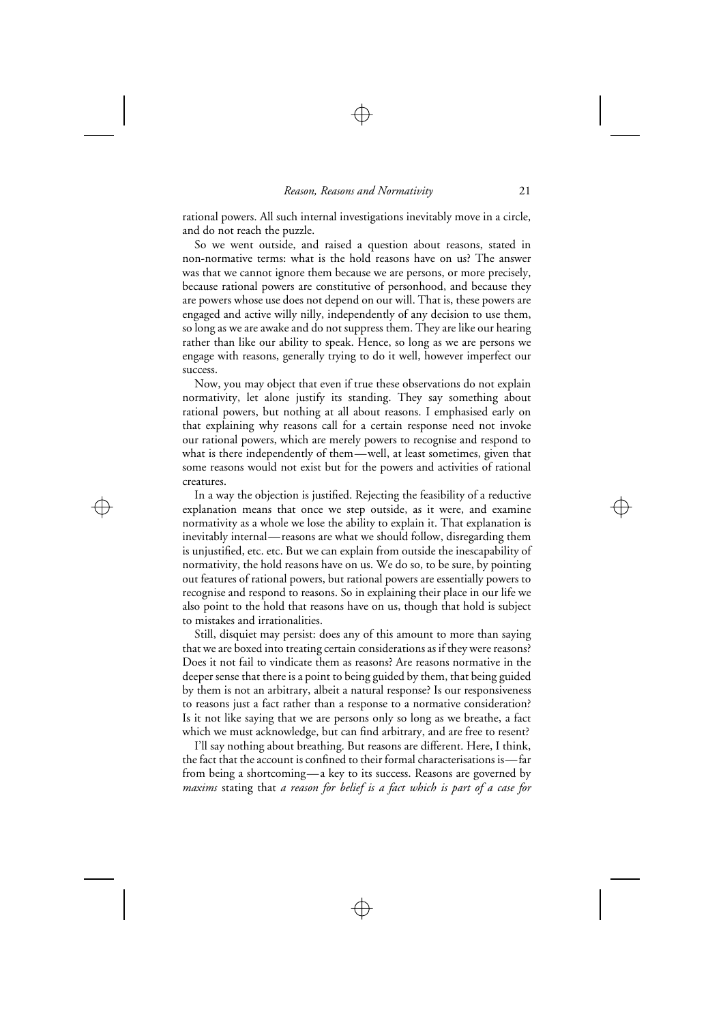rational powers. All such internal investigations inevitably move in a circle, and do not reach the puzzle.

So we went outside, and raised a question about reasons, stated in non-normative terms: what is the hold reasons have on us? The answer was that we cannot ignore them because we are persons, or more precisely, because rational powers are constitutive of personhood, and because they are powers whose use does not depend on our will. That is, these powers are engaged and active willy nilly, independently of any decision to use them, so long as we are awake and do not suppress them. They are like our hearing rather than like our ability to speak. Hence, so long as we are persons we engage with reasons, generally trying to do it well, however imperfect our success.

Now, you may object that even if true these observations do not explain normativity, let alone justify its standing. They say something about rational powers, but nothing at all about reasons. I emphasised early on that explaining why reasons call for a certain response need not invoke our rational powers, which are merely powers to recognise and respond to what is there independently of them—well, at least sometimes, given that some reasons would not exist but for the powers and activities of rational creatures.

In a way the objection is justified. Rejecting the feasibility of a reductive explanation means that once we step outside, as it were, and examine normativity as a whole we lose the ability to explain it. That explanation is inevitably internal—reasons are what we should follow, disregarding them is unjustified, etc. etc. But we can explain from outside the inescapability of normativity, the hold reasons have on us. We do so, to be sure, by pointing out features of rational powers, but rational powers are essentially powers to recognise and respond to reasons. So in explaining their place in our life we also point to the hold that reasons have on us, though that hold is subject to mistakes and irrationalities.

Still, disquiet may persist: does any of this amount to more than saying that we are boxed into treating certain considerations as if they were reasons? Does it not fail to vindicate them as reasons? Are reasons normative in the deeper sense that there is a point to being guided by them, that being guided by them is not an arbitrary, albeit a natural response? Is our responsiveness to reasons just a fact rather than a response to a normative consideration? Is it not like saying that we are persons only so long as we breathe, a fact which we must acknowledge, but can find arbitrary, and are free to resent?

I'll say nothing about breathing. But reasons are different. Here, I think, the fact that the account is confined to their formal characterisations is—far from being a shortcoming—a key to its success. Reasons are governed by *maxims* stating that *a reason for belief is a fact which is part of a case for*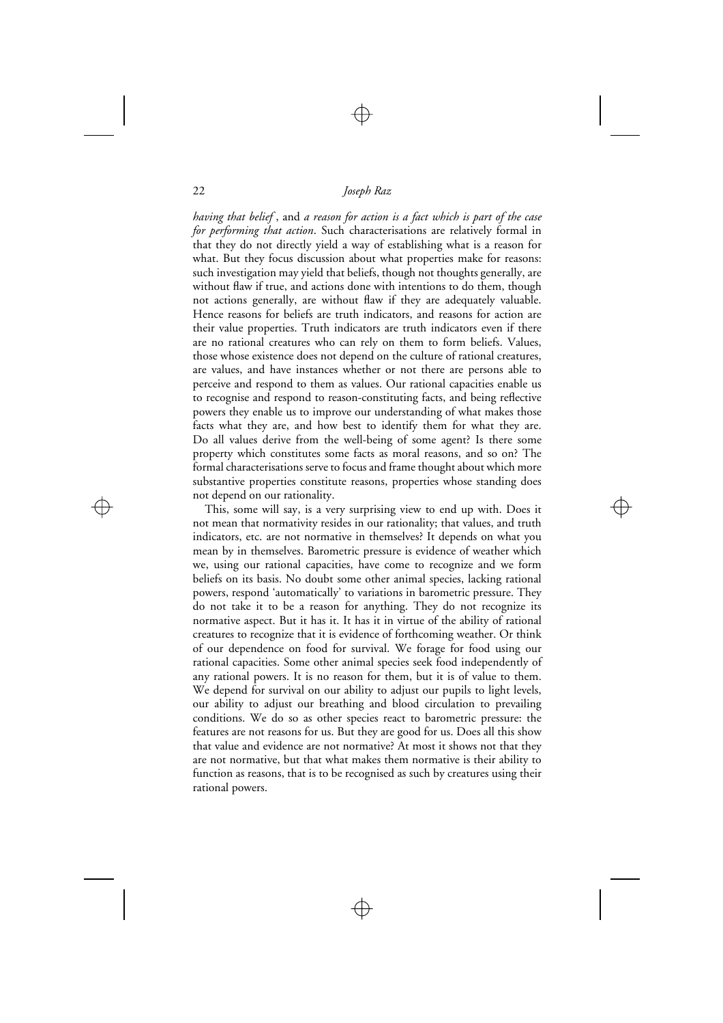*having that belief* , and *a reason for action is a fact which is part of the case for performing that action*. Such characterisations are relatively formal in that they do not directly yield a way of establishing what is a reason for what. But they focus discussion about what properties make for reasons: such investigation may yield that beliefs, though not thoughts generally, are without flaw if true, and actions done with intentions to do them, though not actions generally, are without flaw if they are adequately valuable. Hence reasons for beliefs are truth indicators, and reasons for action are their value properties. Truth indicators are truth indicators even if there are no rational creatures who can rely on them to form beliefs. Values, those whose existence does not depend on the culture of rational creatures, are values, and have instances whether or not there are persons able to perceive and respond to them as values. Our rational capacities enable us to recognise and respond to reason-constituting facts, and being reflective powers they enable us to improve our understanding of what makes those facts what they are, and how best to identify them for what they are. Do all values derive from the well-being of some agent? Is there some property which constitutes some facts as moral reasons, and so on? The formal characterisations serve to focus and frame thought about which more substantive properties constitute reasons, properties whose standing does not depend on our rationality.

This, some will say, is a very surprising view to end up with. Does it not mean that normativity resides in our rationality; that values, and truth indicators, etc. are not normative in themselves? It depends on what you mean by in themselves. Barometric pressure is evidence of weather which we, using our rational capacities, have come to recognize and we form beliefs on its basis. No doubt some other animal species, lacking rational powers, respond 'automatically' to variations in barometric pressure. They do not take it to be a reason for anything. They do not recognize its normative aspect. But it has it. It has it in virtue of the ability of rational creatures to recognize that it is evidence of forthcoming weather. Or think of our dependence on food for survival. We forage for food using our rational capacities. Some other animal species seek food independently of any rational powers. It is no reason for them, but it is of value to them. We depend for survival on our ability to adjust our pupils to light levels, our ability to adjust our breathing and blood circulation to prevailing conditions. We do so as other species react to barometric pressure: the features are not reasons for us. But they are good for us. Does all this show that value and evidence are not normative? At most it shows not that they are not normative, but that what makes them normative is their ability to function as reasons, that is to be recognised as such by creatures using their rational powers.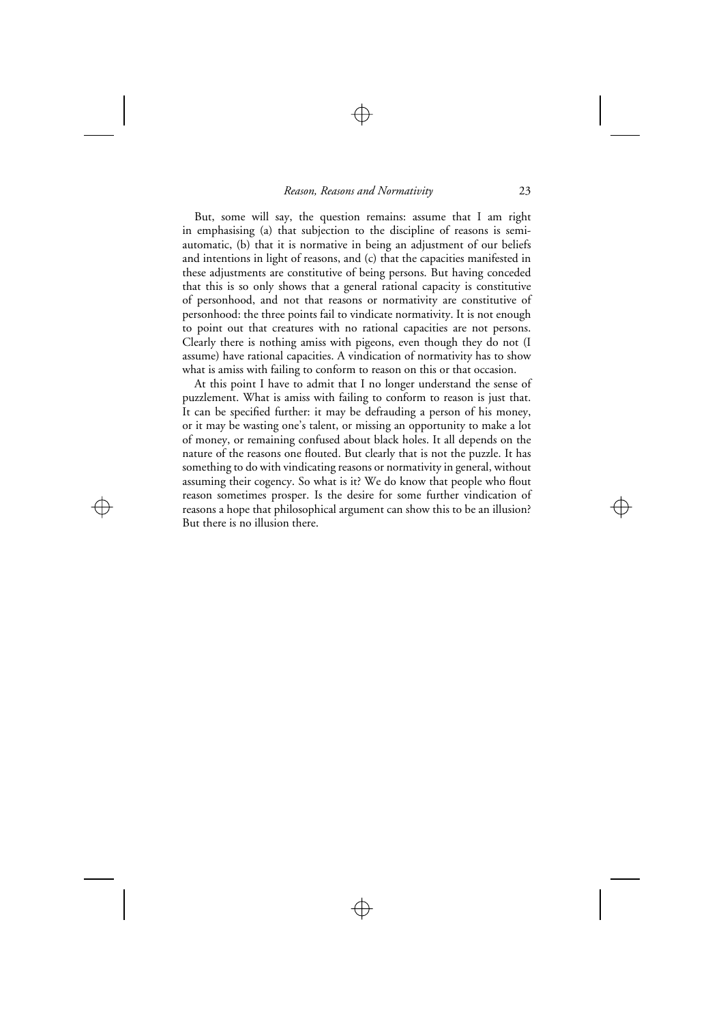But, some will say, the question remains: assume that I am right in emphasising (a) that subjection to the discipline of reasons is semiautomatic, (b) that it is normative in being an adjustment of our beliefs and intentions in light of reasons, and (c) that the capacities manifested in these adjustments are constitutive of being persons. But having conceded that this is so only shows that a general rational capacity is constitutive of personhood, and not that reasons or normativity are constitutive of personhood: the three points fail to vindicate normativity. It is not enough to point out that creatures with no rational capacities are not persons. Clearly there is nothing amiss with pigeons, even though they do not (I assume) have rational capacities. A vindication of normativity has to show what is amiss with failing to conform to reason on this or that occasion.

At this point I have to admit that I no longer understand the sense of puzzlement. What is amiss with failing to conform to reason is just that. It can be specified further: it may be defrauding a person of his money, or it may be wasting one's talent, or missing an opportunity to make a lot of money, or remaining confused about black holes. It all depends on the nature of the reasons one flouted. But clearly that is not the puzzle. It has something to do with vindicating reasons or normativity in general, without assuming their cogency. So what is it? We do know that people who flout reason sometimes prosper. Is the desire for some further vindication of reasons a hope that philosophical argument can show this to be an illusion? But there is no illusion there.